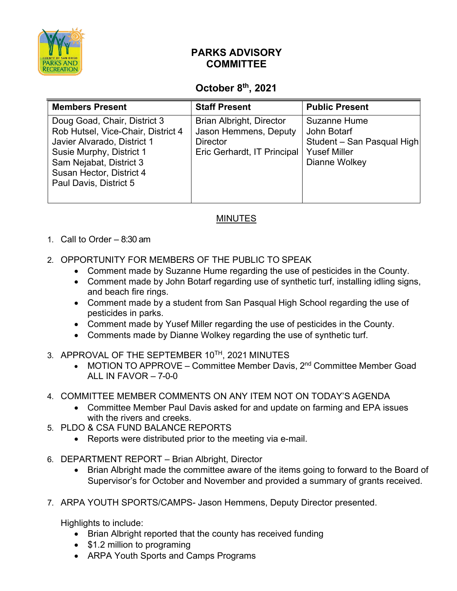

## **PARKS ADVISORY COMMITTEE**

## **October 8th, 2021**

| <b>Members Present</b>                                                                                                                                                                                         | <b>Staff Present</b>                                                                                       | <b>Public Present</b>                                                                                    |
|----------------------------------------------------------------------------------------------------------------------------------------------------------------------------------------------------------------|------------------------------------------------------------------------------------------------------------|----------------------------------------------------------------------------------------------------------|
| Doug Goad, Chair, District 3<br>Rob Hutsel, Vice-Chair, District 4<br>Javier Alvarado, District 1<br>Susie Murphy, District 1<br>Sam Nejabat, District 3<br>Susan Hector, District 4<br>Paul Davis, District 5 | <b>Brian Albright, Director</b><br>Jason Hemmens, Deputy<br><b>Director</b><br>Eric Gerhardt, IT Principal | <b>Suzanne Hume</b><br>John Botarf<br>Student - San Pasqual High<br><b>Yusef Miller</b><br>Dianne Wolkey |

## MINUTES

## 1. Call to Order – 8:30 am

- 2. OPPORTUNITY FOR MEMBERS OF THE PUBLIC TO SPEAK
	- Comment made by Suzanne Hume regarding the use of pesticides in the County.
	- Comment made by John Botarf regarding use of synthetic turf, installing idling signs, and beach fire rings.
	- Comment made by a student from San Pasqual High School regarding the use of pesticides in parks.
	- Comment made by Yusef Miller regarding the use of pesticides in the County.
	- Comments made by Dianne Wolkey regarding the use of synthetic turf.
- 3. APPROVAL OF THE SEPTEMBER 10TH, 2021 MINUTES
	- MOTION TO APPROVE Committee Member Davis,  $2<sup>nd</sup>$  Committee Member Goad ALL IN FAVOR – 7-0-0
- 4. COMMITTEE MEMBER COMMENTS ON ANY ITEM NOT ON TODAY'S AGENDA
	- Committee Member Paul Davis asked for and update on farming and EPA issues with the rivers and creeks.
- 5. PLDO & CSA FUND BALANCE REPORTS
	- Reports were distributed prior to the meeting via e-mail.
- 6. DEPARTMENT REPORT Brian Albright, Director
	- Brian Albright made the committee aware of the items going to forward to the Board of Supervisor's for October and November and provided a summary of grants received.
- 7. ARPA YOUTH SPORTS/CAMPS- Jason Hemmens, Deputy Director presented.

Highlights to include:

- Brian Albright reported that the county has received funding
- \$1.2 million to programing
- ARPA Youth Sports and Camps Programs